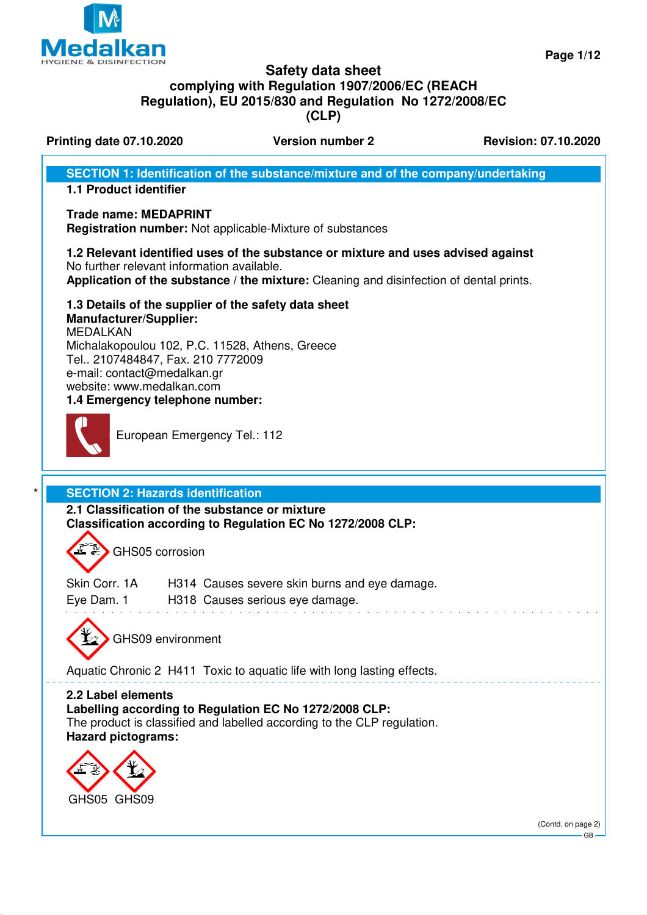

**Page 1/12**

### **Safety data sheet complying with Regulation 1907/2006/EC (REACH Regulation), EU 2015/830 and Regulation No 1272/2008/EC (CLP)**

**Printing date 07.10.2020 Version number 2 Revision: 07.10.2020** 

**SECTION 1: Identification of the substance/mixture and of the company/undertaking**

### **1.1 Product identifier**

### **Trade name: MEDAPRINT**

**Registration number:** Not applicable-Mixture of substances

### **1.2 Relevant identified uses of the substance or mixture and uses advised against** No further relevant information available.

**Application of the substance / the mixture:** Cleaning and disinfection of dental prints.

### **1.3 Details of the supplier of the safety data sheet**

**Manufacturer/Supplier:** MEDALKAN Michalakopoulou 102, P.C. 11528, Athens, Greece Tel.. 2107484847, Fax. 210 7772009 e-mail: contact@medalkan.gr website: www.medalkan.com **1.4 Emergency telephone number:**



European Emergency Tel.: 112

### **SECTION 2: Hazards identification**

**2.1 Classification of the substance or mixture Classification according to Regulation EC No 1272/2008 CLP:**

GHS05 corrosion

| Skin Corr. 1A | H314 Causes severe skin burns and eye damage. |
|---------------|-----------------------------------------------|
| Eye Dam. 1    | H318 Causes serious eye damage.               |



GHS09 environment

Aquatic Chronic 2 H411 Toxic to aquatic life with long lasting effects.

**2.2 Label elements Labelling according to Regulation EC No 1272/2008 CLP:** The product is classified and labelled according to the CLP regulation. **Hazard pictograms:**



(Contd. on page 2) GB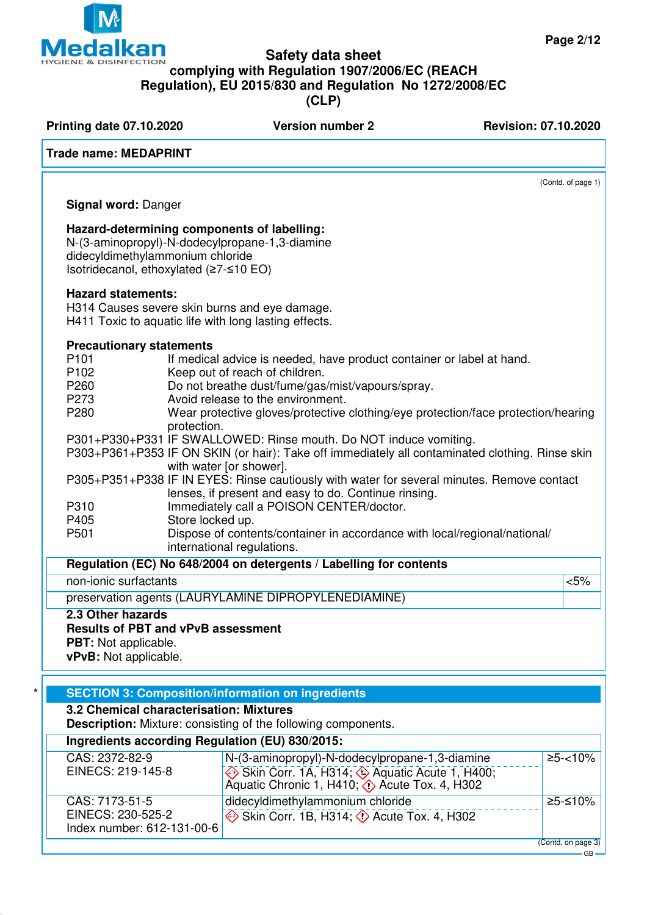# **Safety data sheet**

**complying with Regulation 1907/2006/EC (REACH Regulation), EU 2015/830 and Regulation No 1272/2008/EC**

**(CLP)**

**Printing date 07.10.2020 Version number 2 Revision: 07.10.2020 Trade name: MEDAPRINT** (Contd. of page 1) **Signal word:** Danger **Hazard-determining components of labelling:** N-(3-aminopropyl)-N-dodecylpropane-1,3-diamine didecyldimethylammonium chloride Isotridecanol, ethoxylated (≥7-≤10 EO) **Hazard statements:** H314 Causes severe skin burns and eye damage. H411 Toxic to aquatic life with long lasting effects. **Precautionary statements** P101 **If medical advice is needed, have product container or label at hand.** P102 Keep out of reach of children.<br>P260 Do not breathe dust/fume/gas Do not breathe dust/fume/gas/mist/vapours/spray. P273 Avoid release to the environment. P280 Wear protective gloves/protective clothing/eye protection/face protection/hearing protection. P301+P330+P331 IF SWALLOWED: Rinse mouth. Do NOT induce vomiting. P303+P361+P353 IF ON SKIN (or hair): Take off immediately all contaminated clothing. Rinse skin with water [or shower]. P305+P351+P338 IF IN EYES: Rinse cautiously with water for several minutes. Remove contact lenses, if present and easy to do. Continue rinsing. P310 Immediately call a POISON CENTER/doctor.<br>P405 Store locked up. P405 Store locked up.<br>P501 Dispose of conte Dispose of contents/container in accordance with local/regional/national/ international regulations. **Regulation (EC) No 648/2004 on detergents / Labelling for contents** non-ionic surfactants  $\sim$ preservation agents (LAURYLAMINE DIPROPYLENEDIAMINE) **2.3 Other hazards Results of PBT and vPvB assessment PBT:** Not applicable. **vPvB:** Not applicable. **SECTION 3: Composition/information on ingredients 3.2 Chemical characterisation: Mixtures Description:** Mixture: consisting of the following components. **Ingredients according Regulation (EU) 830/2015:** CAS: 2372-82-9 EINECS: 219-145-8 N-(3-aminopropyl)-N-dodecylpropane-1,3-diamine  $\Leftrightarrow$  Skin Corr. 1A, H314;  $\Leftrightarrow$  Aquatic Acute 1, H400; Aquatic Chronic 1, H410;  $\diamond$  Acute Tox. 4, H302  $\ge 5 - 10\%$ CAS: 7173-51-5 EINECS: 230-525-2 Index number: 612-131-00-6 didecyldimethylammonium chloride  $\leftrightarrow$  Skin Corr. 1B, H314;  $\leftrightarrow$  Acute Tox. 4, H302 ≥5-≤10%



GB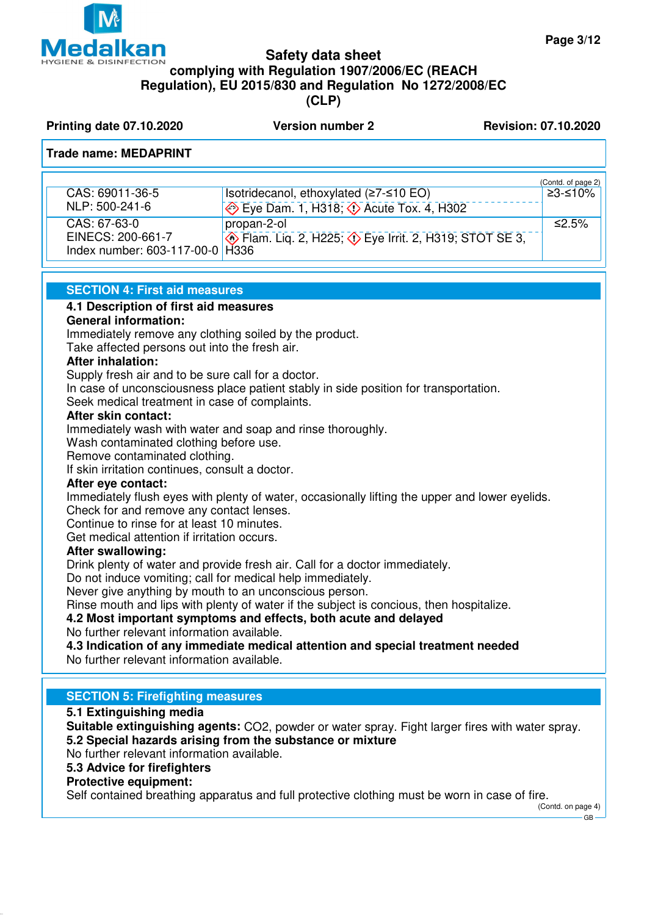

### **Safety data sheet complying with Regulation 1907/2006/EC (REACH Regulation), EU 2015/830 and Regulation No 1272/2008/EC (CLP)**

**Printing date 07.10.2020 Version number 2 Revision: 07.10.2020** 

### **Trade name: MEDAPRINT**

|                                                      |                                                                          | (Contd. of page 2) |
|------------------------------------------------------|--------------------------------------------------------------------------|--------------------|
| CAS: 69011-36-5                                      | Isotridecanol, ethoxylated $(≥7-≤10 EO)$                                 | ≥3-≤10%            |
| NLP: 500-241-6                                       | $\leftrightarrow$ Eye Dam. 1, H318; $\leftrightarrow$ Acute Tox. 4, H302 |                    |
| CAS: 67-63-0                                         | propan-2-ol                                                              | ≤2.5%              |
| EINECS: 200-661-7<br>Index number: 603-117-00-0 H336 | <b>Example 2, H225; 4&gt; Eye Irrit. 2, H319; STOT SE 3,</b>             |                    |
|                                                      |                                                                          |                    |

### **SECTION 4: First aid measures**

### **4.1 Description of first aid measures**

### **General information:**

Immediately remove any clothing soiled by the product.

Take affected persons out into the fresh air.

### **After inhalation:**

Supply fresh air and to be sure call for a doctor.

In case of unconsciousness place patient stably in side position for transportation.

Seek medical treatment in case of complaints.

### **After skin contact:**

Immediately wash with water and soap and rinse thoroughly.

Wash contaminated clothing before use.

Remove contaminated clothing.

If skin irritation continues, consult a doctor.

### **After eye contact:**

Immediately flush eyes with plenty of water, occasionally lifting the upper and lower eyelids. Check for and remove any contact lenses.

Continue to rinse for at least 10 minutes.

Get medical attention if irritation occurs.

### **After swallowing:**

Drink plenty of water and provide fresh air. Call for a doctor immediately.

Do not induce vomiting; call for medical help immediately.

Never give anything by mouth to an unconscious person.

Rinse mouth and lips with plenty of water if the subject is concious, then hospitalize.

### **4.2 Most important symptoms and effects, both acute and delayed**

No further relevant information available.

**4.3 Indication of any immediate medical attention and special treatment needed** No further relevant information available.

### **SECTION 5: Firefighting measures**

### **5.1 Extinguishing media**

**Suitable extinguishing agents:** CO2, powder or water spray. Fight larger fires with water spray. **5.2 Special hazards arising from the substance or mixture**

No further relevant information available.

### **5.3 Advice for firefighters**

### **Protective equipment:**

Self contained breathing apparatus and full protective clothing must be worn in case of fire.

(Contd. on page 4) GB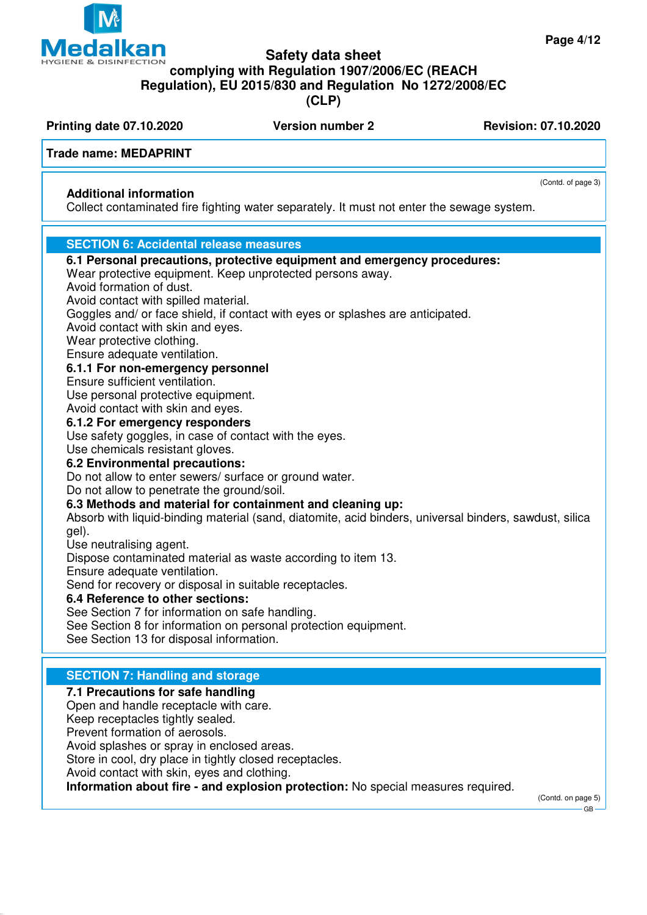(Contd. of page 3)

### **Safety data sheet**

**HYGIENE & DISINFECTION complying with Regulation 1907/2006/EC (REACH**

**Regulation), EU 2015/830 and Regulation No 1272/2008/EC**

**(CLP)**

**Printing date 07.10.2020 Version number 2 Revision: 07.10.2020** 

**Medalkan** 

### **Trade name: MEDAPRINT**

### **Additional information**

Collect contaminated fire fighting water separately. It must not enter the sewage system.

### **SECTION 6: Accidental release measures**

| 6.1 Personal precautions, protective equipment and emergency procedures:<br>Wear protective equipment. Keep unprotected persons away. |
|---------------------------------------------------------------------------------------------------------------------------------------|
| Avoid formation of dust.                                                                                                              |
| Avoid contact with spilled material.                                                                                                  |
| Goggles and/ or face shield, if contact with eyes or splashes are anticipated.                                                        |
| Avoid contact with skin and eyes.                                                                                                     |
| Wear protective clothing.                                                                                                             |
| Ensure adequate ventilation.                                                                                                          |
| 6.1.1 For non-emergency personnel                                                                                                     |
| Ensure sufficient ventilation.                                                                                                        |
| Use personal protective equipment.                                                                                                    |
| Avoid contact with skin and eyes.                                                                                                     |
| 6.1.2 For emergency responders                                                                                                        |
| Use safety goggles, in case of contact with the eyes.                                                                                 |
| Use chemicals resistant gloves.                                                                                                       |
| 6.2 Environmental precautions:                                                                                                        |
| Do not allow to enter sewers/ surface or ground water.                                                                                |
| Do not allow to penetrate the ground/soil.                                                                                            |
| 6.3 Methods and material for containment and cleaning up:                                                                             |
| Absorb with liquid-binding material (sand, diatomite, acid binders, universal binders, sawdust, silica                                |
| gel).<br>Use neutralising agent.                                                                                                      |
| Dispose contaminated material as waste according to item 13.                                                                          |
| Ensure adequate ventilation.                                                                                                          |
| Send for recovery or disposal in suitable receptacles.                                                                                |
| 6.4 Reference to other sections:                                                                                                      |
| See Section 7 for information on safe handling.                                                                                       |
| See Section 8 for information on personal protection equipment.                                                                       |
| See Section 13 for disposal information.                                                                                              |
|                                                                                                                                       |
| <b>SECTION 7: Handling and storage</b>                                                                                                |
| 7.1 Precautions for safe handling                                                                                                     |
| Open and handle receptacle with care.                                                                                                 |
| Keep receptacles tightly sealed.                                                                                                      |
|                                                                                                                                       |

Prevent formation of aerosols.

Avoid splashes or spray in enclosed areas.

Store in cool, dry place in tightly closed receptacles.

Avoid contact with skin, eyes and clothing.

**Information about fire - and explosion protection:** No special measures required.

(Contd. on page 5)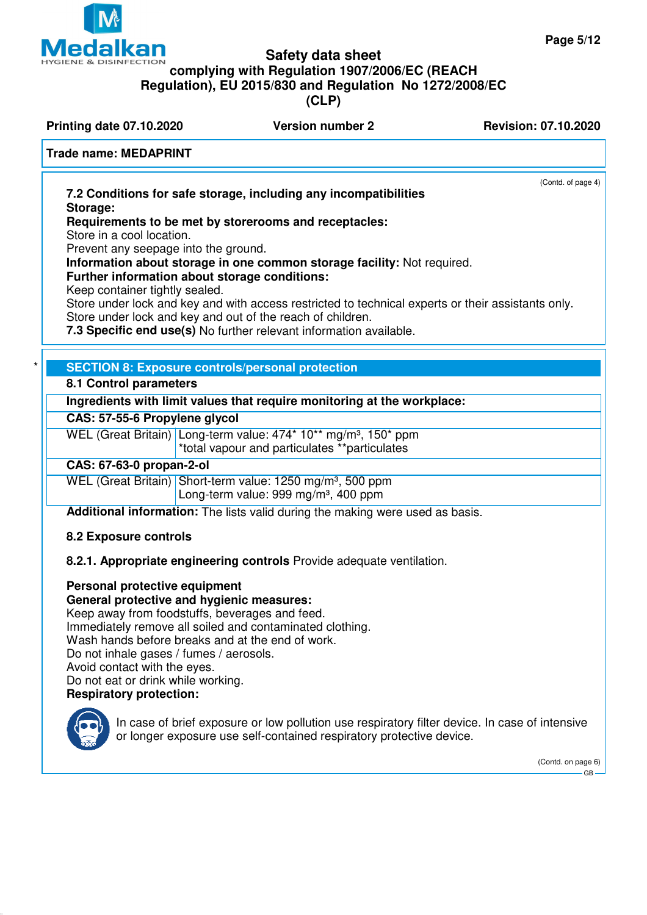(Contd. of page 4)



## **Safety data sheet complying with Regulation 1907/2006/EC (REACH Regulation), EU 2015/830 and Regulation No 1272/2008/EC**

**(CLP)**

**Printing date 07.10.2020 Version number 2 Revision: 07.10.2020** 

### **Trade name: MEDAPRINT**

**7.2 Conditions for safe storage, including any incompatibilities Storage:**

**Requirements to be met by storerooms and receptacles:**

Store in a cool location.

Prevent any seepage into the ground.

**Information about storage in one common storage facility:** Not required.

**Further information about storage conditions:**

Keep container tightly sealed.

Store under lock and key and with access restricted to technical experts or their assistants only. Store under lock and key and out of the reach of children.

**7.3 Specific end use(s)** No further relevant information available.

### **SECTION 8: Exposure controls/personal protection**

### **8.1 Control parameters**

**Ingredients with limit values that require monitoring at the workplace:**

### **CAS: 57-55-6 Propylene glycol**

WEL (Great Britain) Long-term value: 474\* 10\*\* mg/m<sup>3</sup>, 150\* ppm \*total vapour and particulates \*\*particulates

### **CAS: 67-63-0 propan-2-ol**

WEL (Great Britain) Short-term value: 1250 mg/m<sup>3</sup>, 500 ppm Long-term value:  $999 \text{ ma/m}^3$ , 400 ppm

**Additional information:** The lists valid during the making were used as basis.

### **8.2 Exposure controls**

**8.2.1. Appropriate engineering controls** Provide adequate ventilation.

## **Personal protective equipment**

### **General protective and hygienic measures:**

Keep away from foodstuffs, beverages and feed. Immediately remove all soiled and contaminated clothing. Wash hands before breaks and at the end of work. Do not inhale gases / fumes / aerosols. Avoid contact with the eyes. Do not eat or drink while working. **Respiratory protection:**

In case of brief exposure or low pollution use respiratory filter device. In case of intensive or longer exposure use self-contained respiratory protective device.

> (Contd. on page 6) GB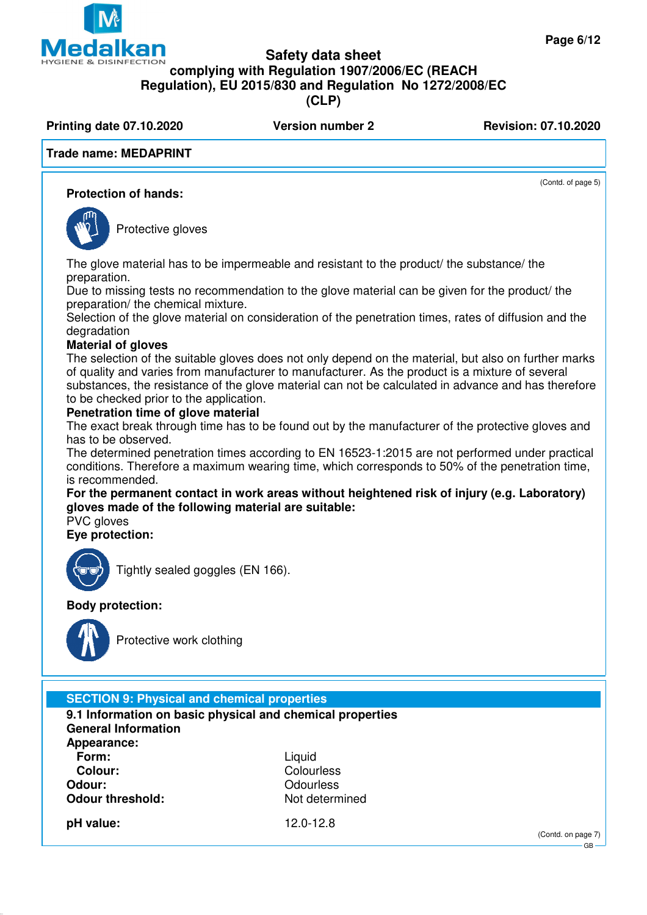(Contd. of page 5)

### **Safety data sheet**

### **HYGIENE & DISINFECTION complying with Regulation 1907/2006/EC (REACH**

**Regulation), EU 2015/830 and Regulation No 1272/2008/EC**

**(CLP)**

**Printing date 07.10.2020 Version number 2 Revision: 07.10.2020** 

### **Trade name: MEDAPRINT**

**GIN** 

### **Protection of hands:**



**IEO** 

Protective gloves

The glove material has to be impermeable and resistant to the product/ the substance/ the preparation.

Due to missing tests no recommendation to the glove material can be given for the product/ the preparation/ the chemical mixture.

Selection of the glove material on consideration of the penetration times, rates of diffusion and the degradation

### **Material of gloves**

The selection of the suitable gloves does not only depend on the material, but also on further marks of quality and varies from manufacturer to manufacturer. As the product is a mixture of several substances, the resistance of the glove material can not be calculated in advance and has therefore to be checked prior to the application.

### **Penetration time of glove material**

The exact break through time has to be found out by the manufacturer of the protective gloves and has to be observed.

The determined penetration times according to EN 16523-1:2015 are not performed under practical conditions. Therefore a maximum wearing time, which corresponds to 50% of the penetration time, is recommended.

**For the permanent contact in work areas without heightened risk of injury (e.g. Laboratory) gloves made of the following material are suitable:**

PVC gloves

**Eye protection:**



Tightly sealed goggles (EN 166).

### **Body protection:**



Protective work clothing

### **SECTION 9: Physical and chemical properties**

**9.1 Information on basic physical and chemical properties General Information**

**Appearance: Form:** Liquid Liquid Colour: Colour: **Odour:** Odourless **Odour threshold:** Not determined

**Colour:** Colourless

**pH value:** 12.0-12.8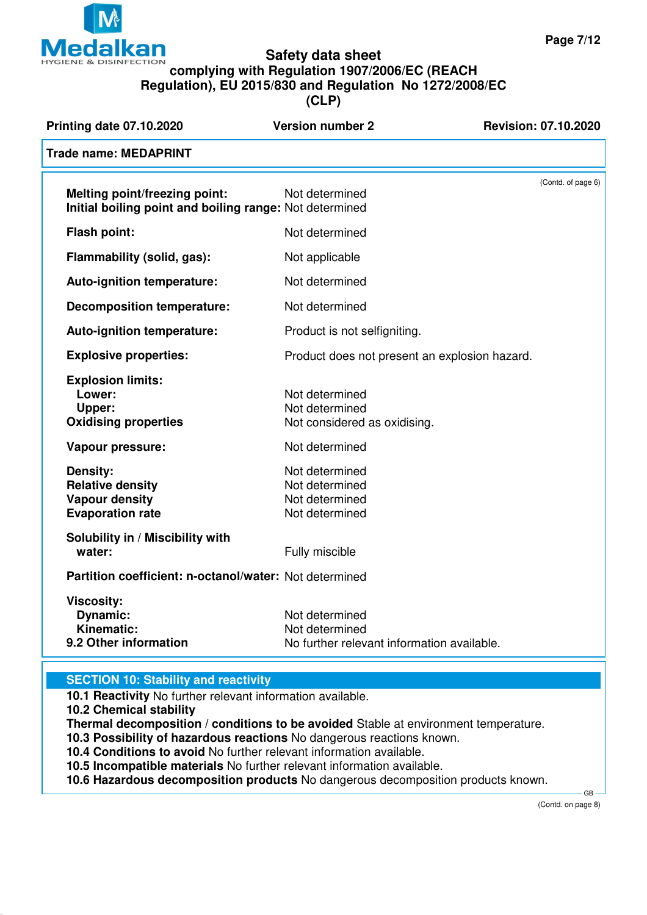

### **Safety data sheet complying with Regulation 1907/2006/EC (REACH Regulation), EU 2015/830 and Regulation No 1272/2008/EC (CLP)**

| <b>Printing date 07.10.2020</b>                                                                 | <b>Version number 2</b>                                                        | <b>Revision: 07.10.2020</b> |                    |
|-------------------------------------------------------------------------------------------------|--------------------------------------------------------------------------------|-----------------------------|--------------------|
| <b>Trade name: MEDAPRINT</b>                                                                    |                                                                                |                             |                    |
| <b>Melting point/freezing point:</b><br>Initial boiling point and boiling range: Not determined | Not determined                                                                 |                             | (Contd. of page 6) |
| <b>Flash point:</b>                                                                             | Not determined                                                                 |                             |                    |
| Flammability (solid, gas):                                                                      | Not applicable                                                                 |                             |                    |
| Auto-ignition temperature:                                                                      | Not determined                                                                 |                             |                    |
| <b>Decomposition temperature:</b>                                                               | Not determined                                                                 |                             |                    |
| Auto-ignition temperature:                                                                      | Product is not selfigniting.                                                   |                             |                    |
| <b>Explosive properties:</b>                                                                    | Product does not present an explosion hazard.                                  |                             |                    |
| <b>Explosion limits:</b><br>Lower:<br>Upper:<br><b>Oxidising properties</b>                     | Not determined<br>Not determined<br>Not considered as oxidising.               |                             |                    |
| <b>Vapour pressure:</b>                                                                         | Not determined                                                                 |                             |                    |
| <b>Density:</b><br><b>Relative density</b><br><b>Vapour density</b><br><b>Evaporation rate</b>  | Not determined<br>Not determined<br>Not determined<br>Not determined           |                             |                    |
| Solubility in / Miscibility with<br>water:                                                      | Fully miscible                                                                 |                             |                    |
| Partition coefficient: n-octanol/water: Not determined                                          |                                                                                |                             |                    |
| <b>Viscosity:</b><br>Dynamic:<br>Kinematic:<br>9.2 Other information                            | Not determined<br>Not determined<br>No further relevant information available. |                             |                    |
|                                                                                                 |                                                                                |                             |                    |

### **SECTION 10: Stability and reactivity**

**10.1 Reactivity** No further relevant information available.

**10.2 Chemical stability**

**Thermal decomposition / conditions to be avoided** Stable at environment temperature.

**10.3 Possibility of hazardous reactions** No dangerous reactions known.

**10.4 Conditions to avoid** No further relevant information available.

**10.5 Incompatible materials** No further relevant information available.

**10.6 Hazardous decomposition products** No dangerous decomposition products known.

(Contd. on page 8)

GB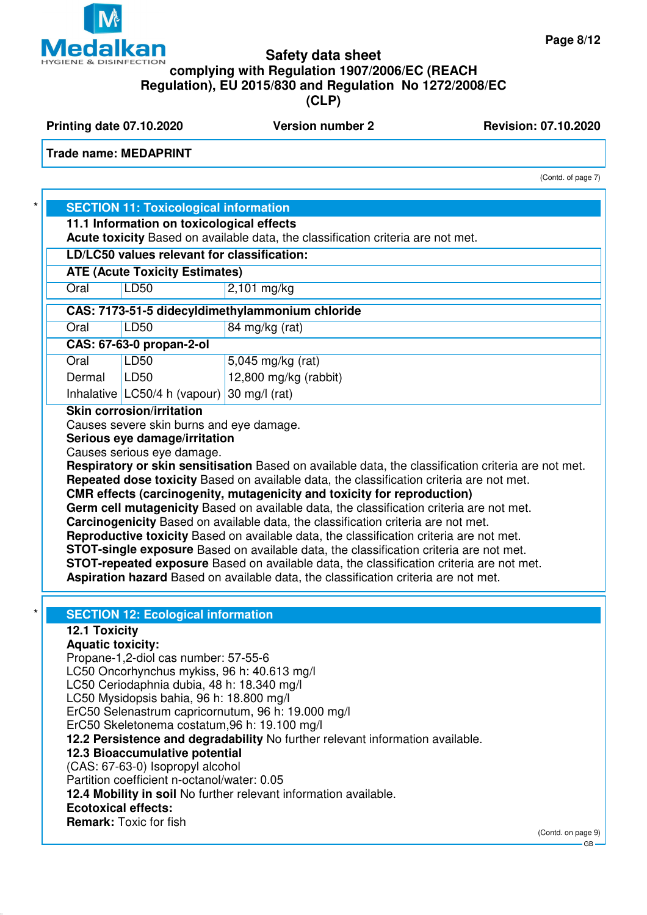

**Printing date 07.10.2020 Version number 2 Revision: 07.10.2020** 

**Trade name: MEDAPRINT**

(Contd. of page 7)

|                                                 | <b>SECTION 11: Toxicological information</b> |                                                                                                                                                                                                                                                                                                                                                                                                                                                 |  |
|-------------------------------------------------|----------------------------------------------|-------------------------------------------------------------------------------------------------------------------------------------------------------------------------------------------------------------------------------------------------------------------------------------------------------------------------------------------------------------------------------------------------------------------------------------------------|--|
|                                                 |                                              |                                                                                                                                                                                                                                                                                                                                                                                                                                                 |  |
|                                                 | 11.1 Information on toxicological effects    | Acute toxicity Based on available data, the classification criteria are not met.                                                                                                                                                                                                                                                                                                                                                                |  |
|                                                 |                                              |                                                                                                                                                                                                                                                                                                                                                                                                                                                 |  |
|                                                 | LD/LC50 values relevant for classification:  |                                                                                                                                                                                                                                                                                                                                                                                                                                                 |  |
| <b>ATE (Acute Toxicity Estimates)</b>           |                                              |                                                                                                                                                                                                                                                                                                                                                                                                                                                 |  |
| Oral                                            | <b>LD50</b>                                  | $2,101$ mg/kg                                                                                                                                                                                                                                                                                                                                                                                                                                   |  |
| CAS: 7173-51-5 didecyldimethylammonium chloride |                                              |                                                                                                                                                                                                                                                                                                                                                                                                                                                 |  |
| Oral                                            | LD50                                         | 84 mg/kg (rat)                                                                                                                                                                                                                                                                                                                                                                                                                                  |  |
| <b>CAS: 67-63-0 propan-2-ol</b>                 |                                              |                                                                                                                                                                                                                                                                                                                                                                                                                                                 |  |
| Oral                                            | LD50                                         | 5,045 mg/kg (rat)                                                                                                                                                                                                                                                                                                                                                                                                                               |  |
| Dermal                                          | LD50                                         | 12,800 mg/kg (rabbit)                                                                                                                                                                                                                                                                                                                                                                                                                           |  |
|                                                 | Inhalative LC50/4 h (vapour) 30 mg/l (rat)   |                                                                                                                                                                                                                                                                                                                                                                                                                                                 |  |
|                                                 |                                              | Repeated dose toxicity Based on available data, the classification criteria are not met.<br>CMR effects (carcinogenity, mutagenicity and toxicity for reproduction)<br>Germ cell mutagenicity Based on available data, the classification criteria are not met.<br>Carcinogenicity Based on available data, the classification criteria are not met.<br>Reproductive toxicity Based on available data, the classification criteria are not met. |  |
|                                                 |                                              | <b>STOT-single exposure</b> Based on available data, the classification criteria are not met.<br>STOT-repeated exposure Based on available data, the classification criteria are not met.<br>Aspiration hazard Based on available data, the classification criteria are not met.                                                                                                                                                                |  |
| 12.1 Toxicity                                   | <b>SECTION 12: Ecological information</b>    |                                                                                                                                                                                                                                                                                                                                                                                                                                                 |  |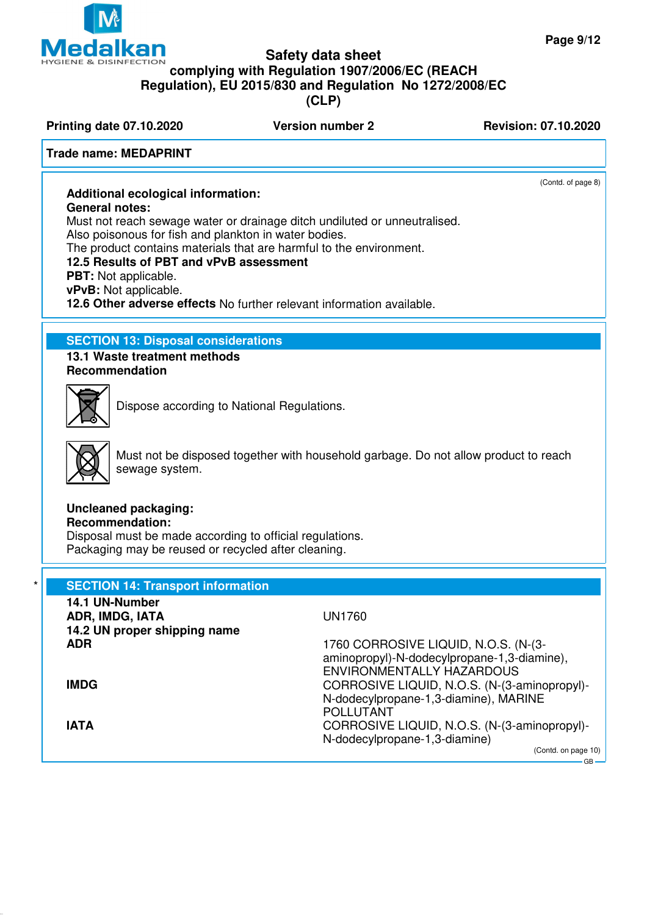

(Contd. of page 8)



### **Safety data sheet complying with Regulation 1907/2006/EC (REACH Regulation), EU 2015/830 and Regulation No 1272/2008/EC (CLP)**

**Printing date 07.10.2020 Version number 2 Revision: 07.10.2020** 

### **Trade name: MEDAPRINT**

## **Additional ecological information:**

**General notes:**

Must not reach sewage water or drainage ditch undiluted or unneutralised. Also poisonous for fish and plankton in water bodies.

The product contains materials that are harmful to the environment.

### **12.5 Results of PBT and vPvB assessment**

**PBT:** Not applicable.

**vPvB:** Not applicable.

**12.6 Other adverse effects** No further relevant information available.

### **SECTION 13: Disposal considerations**

**13.1 Waste treatment methods Recommendation**



Dispose according to National Regulations.



Must not be disposed together with household garbage. Do not allow product to reach sewage system.

## **Uncleaned packaging:**

**Recommendation:**

Disposal must be made according to official regulations. Packaging may be reused or recycled after cleaning.

| <b>SECTION 14: Transport information</b><br>14.1 UN-Number |                                                                                                                                               |
|------------------------------------------------------------|-----------------------------------------------------------------------------------------------------------------------------------------------|
| ADR, IMDG, IATA                                            | <b>UN1760</b>                                                                                                                                 |
| 14.2 UN proper shipping name                               |                                                                                                                                               |
| <b>ADR</b>                                                 | 1760 CORROSIVE LIQUID, N.O.S. (N-(3-<br>aminopropyl)-N-dodecylpropane-1,3-diamine),                                                           |
| <b>IMDG</b>                                                | <b>ENVIRONMENTALLY HAZARDOUS</b><br>CORROSIVE LIQUID, N.O.S. (N-(3-aminopropyl)-<br>N-dodecylpropane-1,3-diamine), MARINE<br><b>POLLUTANT</b> |
| <b>IATA</b>                                                | CORROSIVE LIQUID, N.O.S. (N-(3-aminopropyl)-<br>N-dodecylpropane-1,3-diamine)                                                                 |
|                                                            | (Contd. on page 10)<br>$-$ GR $-$                                                                                                             |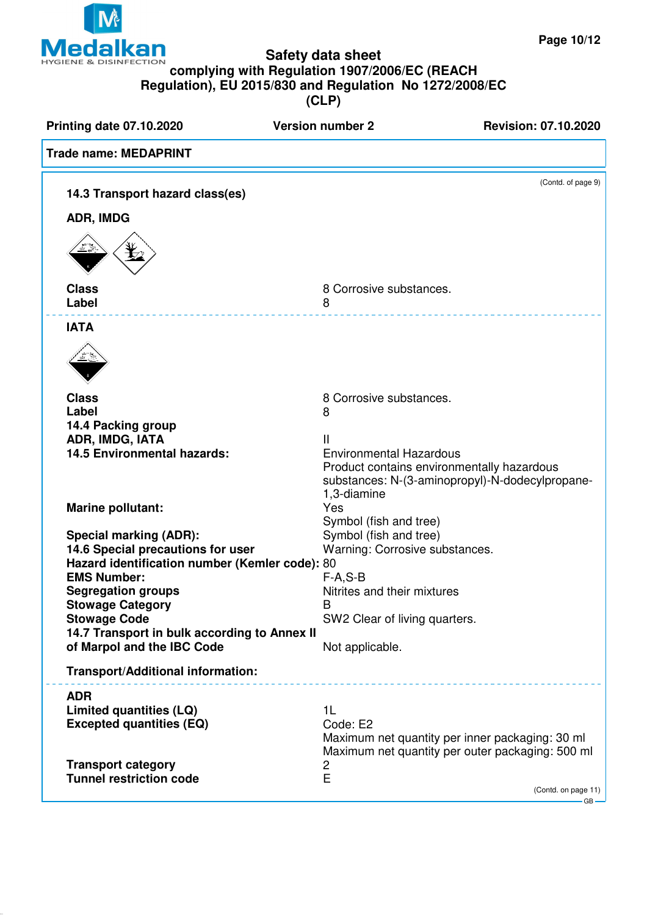

**(CLP)**

**Printing date 07.10.2020 Version number 2 Revision: 07.10.2020 Trade name: MEDAPRINT** (Contd. of page 9) **14.3 Transport hazard class(es) ADR, IMDG Class** 8 Corrosive substances.<br> **Label** 8 2012 **Label** 8 **IATA Class** 8 Corrosive substances. **Label** 8 **14.4 Packing group ADR, IMDG, IATA** II **14.5 Environmental hazards:** Environmental Hazardous Product contains environmentally hazardous substances: N-(3-aminopropyl)-N-dodecylpropane-1,3-diamine **Marine pollutant:** Yes Symbol (fish and tree) **Special marking (ADR):** Symbol (fish and tree) **14.6 Special precautions for user** Warning: Corrosive substances. **Hazard identification number (Kemler code):** 80 **EMS Number:** F-A,S-B **Segregation groups Segregation groups Nitrities** and their mixtures **Stowage Category** B **Stowage Code** Stowage Code SW2 Clear of living quarters. **14.7 Transport in bulk according to Annex II of Marpol and the IBC Code** Not applicable. **Transport/Additional information: ADR Limited quantities (LQ)** 1L **Excepted quantities (EQ)** Code: E2 Maximum net quantity per inner packaging: 30 ml Maximum net quantity per outer packaging: 500 ml **Transport category 2**<br>Tunnel restriction code F **Tunnel restriction code** (Contd. on page 11)  $-GB$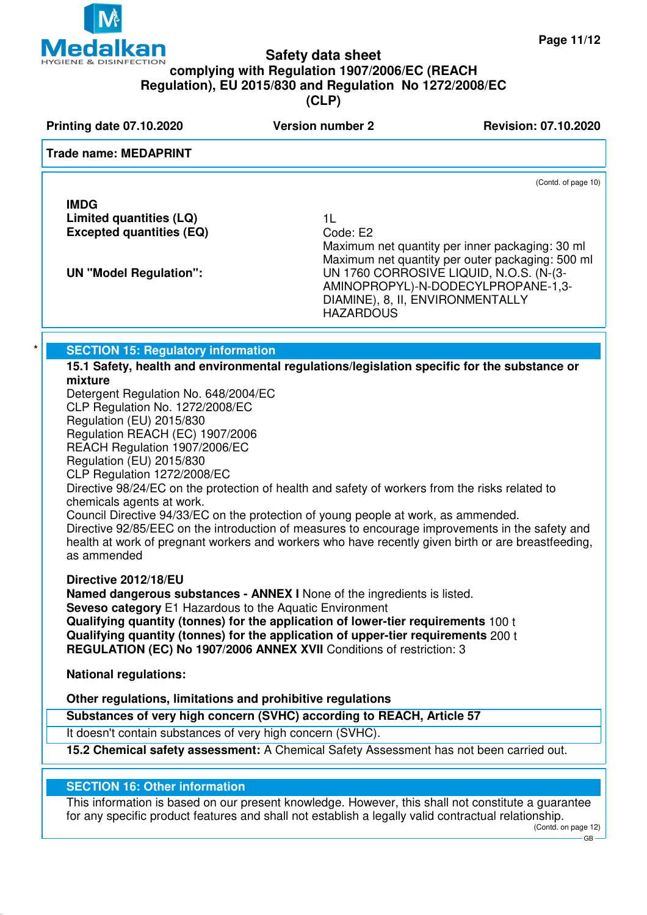

**Printing date 07.10.2020 Version number 2 Revision: 07.10.2020** 

### **Trade name: MEDAPRINT**

**IMDG Limited quantities (LQ)** 1L **Excepted quantities (EQ)** 

Maximum net quantity per inner packaging: 30 ml Maximum net quantity per outer packaging: 500 ml **UN "Model Regulation":** UN 1760 CORROSIVE LIQUID, N.O.S. (N-(3- AMINOPROPYL)-N-DODECYLPROPANE-1,3- DIAMINE), 8, II, ENVIRONMENTALLY **HAZARDOUS** 

**SECTION 15: Regulatory information** 

**15.1 Safety, health and environmental regulations/legislation specific for the substance or mixture**

Detergent Regulation No. 648/2004/EC CLP Regulation No. 1272/2008/EC Regulation (EU) 2015/830 Regulation REACH (EC) 1907/2006 REACH Regulation 1907/2006/EC Regulation (EU) 2015/830

CLP Regulation 1272/2008/EC

Directive 98/24/EC on the protection of health and safety of workers from the risks related to chemicals agents at work.

Council Directive 94/33/EC on the protection of young people at work, as ammended. Directive 92/85/EEC on the introduction of measures to encourage improvements in the safety and health at work of pregnant workers and workers who have recently given birth or are breastfeeding, as ammended

**Directive 2012/18/EU**

**Named dangerous substances - ANNEX I** None of the ingredients is listed.

**Seveso category** E1 Hazardous to the Aquatic Environment

**Qualifying quantity (tonnes) for the application of lower-tier requirements** 100 t **Qualifying quantity (tonnes) for the application of upper-tier requirements** 200 t **REGULATION (EC) No 1907/2006 ANNEX XVII** Conditions of restriction: 3

**National regulations:**

**Other regulations, limitations and prohibitive regulations**

**Substances of very high concern (SVHC) according to REACH, Article 57**

It doesn't contain substances of very high concern (SVHC).

**15.2 Chemical safety assessment:** A Chemical Safety Assessment has not been carried out.

### **SECTION 16: Other information**

This information is based on our present knowledge. However, this shall not constitute a guarantee for any specific product features and shall not establish a legally valid contractual relationship.

(Contd. of page 10)